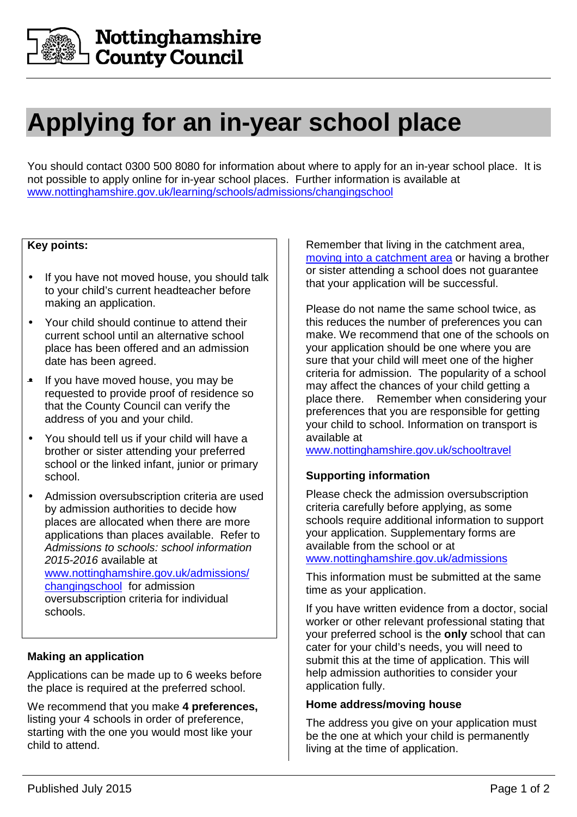

# **Applying for an in-year school place**

You should contact 0300 500 8080 for information about where to apply for an in-year school place. It is not possible to apply online for in-year school places. Further information is available at www.nottinghamshire.gov.uk/learning/schools/admissions/changingschool

# **Key points:**

- If you have not moved house, you should talk to your child's current headteacher before making an application.
- Your child should continue to attend their current school until an alternative school place has been offered and an admission date has been agreed.
- If you have moved house, you may be requested to provide proof of residence so that the County Council can verify the address of you and your child.
- You should tell us if your child will have a brother or sister attending your preferred school or the linked infant, junior or primary school.
- Admission oversubscription criteria are used by admission authorities to decide how places are allocated when there are more applications than places available. Refer to Admissions to schools: school information 2015-2016 available at www.nottinghamshire.gov.uk/admissions/ changingschool for admission oversubscription criteria for individual schools.

#### **Making an application**

Applications can be made up to 6 weeks before the place is required at the preferred school.

We recommend that you make **4 preferences,**  listing your 4 schools in order of preference, starting with the one you would most like your child to attend.

Remember that living in the catchment area, moving into a catchment area or having a brother or sister attending a school does not guarantee that your application will be successful.

Please do not name the same school twice, as this reduces the number of preferences you can make. We recommend that one of the schools on your application should be one where you are sure that your child will meet one of the higher criteria for admission. The popularity of a school may affect the chances of your child getting a place there. Remember when considering your preferences that you are responsible for getting your child to school. Information on transport is available at

www.nottinghamshire.gov.uk/schooltravel

# **Supporting information**

Please check the admission oversubscription criteria carefully before applying, as some schools require additional information to support your application. Supplementary forms are available from the school or at www.nottinghamshire.gov.uk/admissions

This information must be submitted at the same time as your application.

If you have written evidence from a doctor, social worker or other relevant professional stating that your preferred school is the **only** school that can cater for your child's needs, you will need to submit this at the time of application. This will help admission authorities to consider your application fully.

#### **Home address/moving house**

The address you give on your application must be the one at which your child is permanently living at the time of application.